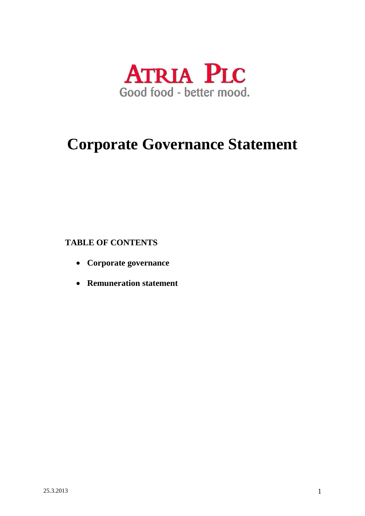

## **Corporate Governance Statement**

## **TABLE OF CONTENTS**

- **Corporate governance**
- **Remuneration statement**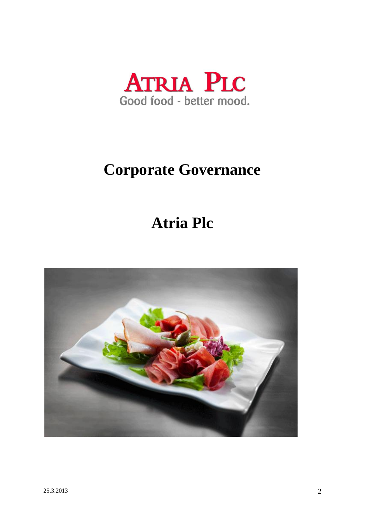

# **Corporate Governance**

## **Atria Plc**

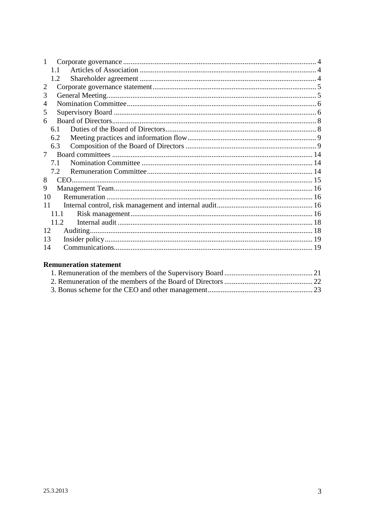### **Remuneration statement**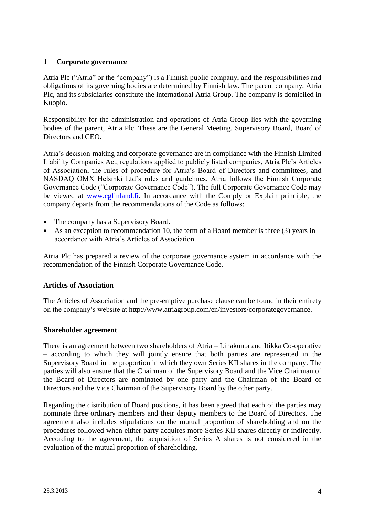## <span id="page-3-0"></span>**1 Corporate governance**

Atria Plc ("Atria" or the "company") is a Finnish public company, and the responsibilities and obligations of its governing bodies are determined by Finnish law. The parent company, Atria Plc, and its subsidiaries constitute the international Atria Group. The company is domiciled in Kuopio.

Responsibility for the administration and operations of Atria Group lies with the governing bodies of the parent, Atria Plc. These are the General Meeting, Supervisory Board, Board of Directors and CEO.

Atria's decision-making and corporate governance are in compliance with the Finnish Limited Liability Companies Act, regulations applied to publicly listed companies, Atria Plc's Articles of Association, the rules of procedure for Atria's Board of Directors and committees, and NASDAQ OMX Helsinki Ltd's rules and guidelines. Atria follows the Finnish Corporate Governance Code ("Corporate Governance Code"). The full Corporate Governance Code may be viewed at [www.cgfinland.fi.](http://www.cgfinland.fi/) In accordance with the Comply or Explain principle, the company departs from the recommendations of the Code as follows:

- The company has a Supervisory Board.
- As an exception to recommendation 10, the term of a Board member is three (3) years in accordance with Atria's Articles of Association.

Atria Plc has prepared a review of the corporate governance system in accordance with the recommendation of the Finnish Corporate Governance Code.

#### <span id="page-3-1"></span>**Articles of Association**

The Articles of Association and the pre-emptive purchase clause can be found in their entirety on the company's website at http://www.atriagroup.com/en/investors/corporategovernance.

#### <span id="page-3-2"></span>**Shareholder agreement**

There is an agreement between two shareholders of Atria – Lihakunta and Itikka Co-operative – according to which they will jointly ensure that both parties are represented in the Supervisory Board in the proportion in which they own Series KII shares in the company. The parties will also ensure that the Chairman of the Supervisory Board and the Vice Chairman of the Board of Directors are nominated by one party and the Chairman of the Board of Directors and the Vice Chairman of the Supervisory Board by the other party.

Regarding the distribution of Board positions, it has been agreed that each of the parties may nominate three ordinary members and their deputy members to the Board of Directors. The agreement also includes stipulations on the mutual proportion of shareholding and on the procedures followed when either party acquires more Series KII shares directly or indirectly. According to the agreement, the acquisition of Series A shares is not considered in the evaluation of the mutual proportion of shareholding.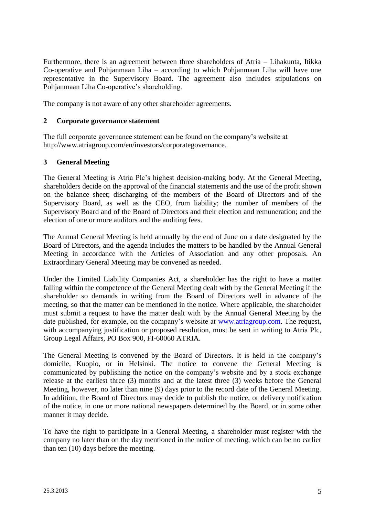Furthermore, there is an agreement between three shareholders of Atria – Lihakunta, Itikka Co-operative and Pohjanmaan Liha – according to which Pohjanmaan Liha will have one representative in the Supervisory Board. The agreement also includes stipulations on Pohjanmaan Liha Co-operative's shareholding.

The company is not aware of any other shareholder agreements.

### <span id="page-4-0"></span>**2 Corporate governance statement**

The full corporate governance statement can be found on the company's website at http://www.atriagroup.com/en/investors/corporategovernance.

## <span id="page-4-1"></span>**3 General Meeting**

The General Meeting is Atria Plc's highest decision-making body. At the General Meeting, shareholders decide on the approval of the financial statements and the use of the profit shown on the balance sheet; discharging of the members of the Board of Directors and of the Supervisory Board, as well as the CEO, from liability; the number of members of the Supervisory Board and of the Board of Directors and their election and remuneration; and the election of one or more auditors and the auditing fees.

The Annual General Meeting is held annually by the end of June on a date designated by the Board of Directors, and the agenda includes the matters to be handled by the Annual General Meeting in accordance with the Articles of Association and any other proposals. An Extraordinary General Meeting may be convened as needed.

Under the Limited Liability Companies Act, a shareholder has the right to have a matter falling within the competence of the General Meeting dealt with by the General Meeting if the shareholder so demands in writing from the Board of Directors well in advance of the meeting, so that the matter can be mentioned in the notice. Where applicable, the shareholder must submit a request to have the matter dealt with by the Annual General Meeting by the date published, for example, on the company's website at [www.atriagroup.com.](http://www.atriagroup.com/) The request, with accompanying justification or proposed resolution, must be sent in writing to Atria Plc, Group Legal Affairs, PO Box 900, FI-60060 ATRIA.

The General Meeting is convened by the Board of Directors. It is held in the company's domicile, Kuopio, or in Helsinki. The notice to convene the General Meeting is communicated by publishing the notice on the company's website and by a stock exchange release at the earliest three (3) months and at the latest three (3) weeks before the General Meeting, however, no later than nine (9) days prior to the record date of the General Meeting. In addition, the Board of Directors may decide to publish the notice, or delivery notification of the notice, in one or more national newspapers determined by the Board, or in some other manner it may decide.

To have the right to participate in a General Meeting, a shareholder must register with the company no later than on the day mentioned in the notice of meeting, which can be no earlier than ten (10) days before the meeting.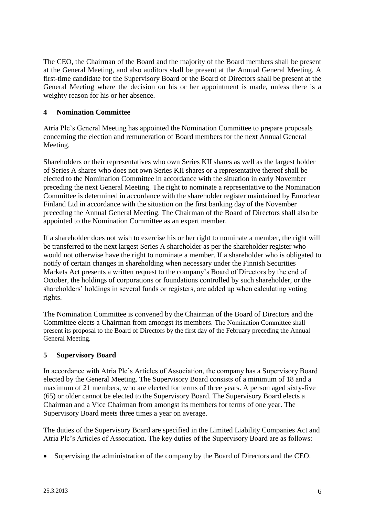The CEO, the Chairman of the Board and the majority of the Board members shall be present at the General Meeting, and also auditors shall be present at the Annual General Meeting. A first-time candidate for the Supervisory Board or the Board of Directors shall be present at the General Meeting where the decision on his or her appointment is made, unless there is a weighty reason for his or her absence.

## <span id="page-5-0"></span>**4 Nomination Committee**

Atria Plc's General Meeting has appointed the Nomination Committee to prepare proposals concerning the election and remuneration of Board members for the next Annual General Meeting.

Shareholders or their representatives who own Series KII shares as well as the largest holder of Series A shares who does not own Series KII shares or a representative thereof shall be elected to the Nomination Committee in accordance with the situation in early November preceding the next General Meeting. The right to nominate a representative to the Nomination Committee is determined in accordance with the shareholder register maintained by Euroclear Finland Ltd in accordance with the situation on the first banking day of the November preceding the Annual General Meeting. The Chairman of the Board of Directors shall also be appointed to the Nomination Committee as an expert member.

If a shareholder does not wish to exercise his or her right to nominate a member, the right will be transferred to the next largest Series A shareholder as per the shareholder register who would not otherwise have the right to nominate a member. If a shareholder who is obligated to notify of certain changes in shareholding when necessary under the Finnish Securities Markets Act presents a written request to the company's Board of Directors by the end of October, the holdings of corporations or foundations controlled by such shareholder, or the shareholders' holdings in several funds or registers, are added up when calculating voting rights.

The Nomination Committee is convened by the Chairman of the Board of Directors and the Committee elects a Chairman from amongst its members. The Nomination Committee shall present its proposal to the Board of Directors by the first day of the February preceding the Annual General Meeting.

## <span id="page-5-1"></span>**5 Supervisory Board**

In accordance with Atria Plc's Articles of Association, the company has a Supervisory Board elected by the General Meeting. The Supervisory Board consists of a minimum of 18 and a maximum of 21 members, who are elected for terms of three years. A person aged sixty-five (65) or older cannot be elected to the Supervisory Board. The Supervisory Board elects a Chairman and a Vice Chairman from amongst its members for terms of one year. The Supervisory Board meets three times a year on average.

The duties of the Supervisory Board are specified in the Limited Liability Companies Act and Atria Plc's Articles of Association. The key duties of the Supervisory Board are as follows:

Supervising the administration of the company by the Board of Directors and the CEO.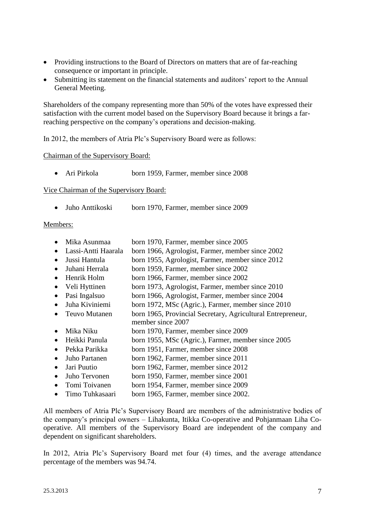- Providing instructions to the Board of Directors on matters that are of far-reaching consequence or important in principle.
- Submitting its statement on the financial statements and auditors' report to the Annual General Meeting.

Shareholders of the company representing more than 50% of the votes have expressed their satisfaction with the current model based on the Supervisory Board because it brings a farreaching perspective on the company's operations and decision-making.

In 2012, the members of Atria Plc's Supervisory Board were as follows:

#### Chairman of the Supervisory Board:

• Ari Pirkola born 1959, Farmer, member since 2008

Vice Chairman of the Supervisory Board:

Juho Anttikoski born 1970, Farmer, member since 2009

#### Members:

- Mika Asunmaa born 1970, Farmer, member since 2005
- Lassi-Antti Haarala born 1966, Agrologist, Farmer, member since 2002
- Jussi Hantula born 1955, Agrologist, Farmer, member since 2012
- Juhani Herrala born 1959, Farmer, member since 2002
- Henrik Holm born 1966, Farmer, member since 2002
- Veli Hyttinen born 1973, Agrologist, Farmer, member since 2010
- Pasi Ingalsuo born 1966, Agrologist, Farmer, member since 2004
- Juha Kiviniemi born 1972, MSc (Agric.), Farmer, member since 2010
- Teuvo Mutanen born 1965, Provincial Secretary, Agricultural Entrepreneur, member since 2007
- Mika Niku born 1970, Farmer, member since 2009
- 
- Heikki Panula born 1955, MSc (Agric.), Farmer, member since 2005
- Pekka Parikka born 1951, Farmer, member since 2008
- Juho Partanen born 1962, Farmer, member since 2011
- Jari Puutio born 1962, Farmer, member since 2012
- Juho Tervonen born 1950, Farmer, member since 2001
- Tomi Toivanen born 1954, Farmer, member since 2009
- Timo Tuhkasaari born 1965, Farmer, member since 2002.

All members of Atria Plc's Supervisory Board are members of the administrative bodies of the company's principal owners – Lihakunta, Itikka Co-operative and Pohjanmaan Liha Cooperative. All members of the Supervisory Board are independent of the company and dependent on significant shareholders.

In 2012, Atria Plc's Supervisory Board met four (4) times, and the average attendance percentage of the members was 94.74.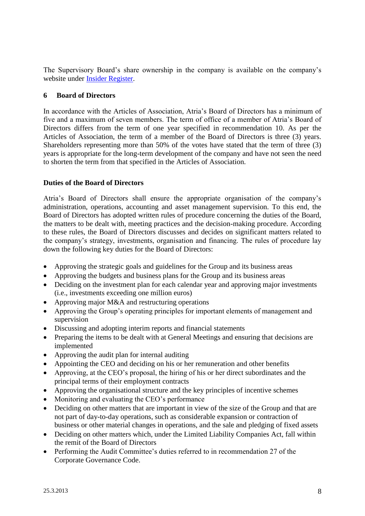The Supervisory Board's share ownership in the company is available on the company's website under [Insider Register.](http://www.atriagroup.com/sijoittajat/HallintoJaJohtaminen/sisapiiri/Sivut/default.aspx)

## <span id="page-7-0"></span>**6 Board of Directors**

In accordance with the Articles of Association, Atria's Board of Directors has a minimum of five and a maximum of seven members. The term of office of a member of Atria's Board of Directors differs from the term of one year specified in recommendation 10. As per the Articles of Association, the term of a member of the Board of Directors is three (3) years. Shareholders representing more than 50% of the votes have stated that the term of three (3) years is appropriate for the long-term development of the company and have not seen the need to shorten the term from that specified in the Articles of Association.

## <span id="page-7-1"></span>**Duties of the Board of Directors**

Atria's Board of Directors shall ensure the appropriate organisation of the company's administration, operations, accounting and asset management supervision. To this end, the Board of Directors has adopted written rules of procedure concerning the duties of the Board, the matters to be dealt with, meeting practices and the decision-making procedure. According to these rules, the Board of Directors discusses and decides on significant matters related to the company's strategy, investments, organisation and financing. The rules of procedure lay down the following key duties for the Board of Directors:

- Approving the strategic goals and guidelines for the Group and its business areas
- Approving the budgets and business plans for the Group and its business areas
- Deciding on the investment plan for each calendar year and approving major investments (i.e., investments exceeding one million euros)
- Approving major M&A and restructuring operations
- Approving the Group's operating principles for important elements of management and supervision
- Discussing and adopting interim reports and financial statements
- Preparing the items to be dealt with at General Meetings and ensuring that decisions are implemented
- Approving the audit plan for internal auditing
- Appointing the CEO and deciding on his or her remuneration and other benefits
- Approving, at the CEO's proposal, the hiring of his or her direct subordinates and the principal terms of their employment contracts
- Approving the organisational structure and the key principles of incentive schemes
- Monitoring and evaluating the CEO's performance
- Deciding on other matters that are important in view of the size of the Group and that are not part of day-to-day operations, such as considerable expansion or contraction of business or other material changes in operations, and the sale and pledging of fixed assets
- Deciding on other matters which, under the Limited Liability Companies Act, fall within the remit of the Board of Directors
- Performing the Audit Committee's duties referred to in recommendation 27 of the Corporate Governance Code.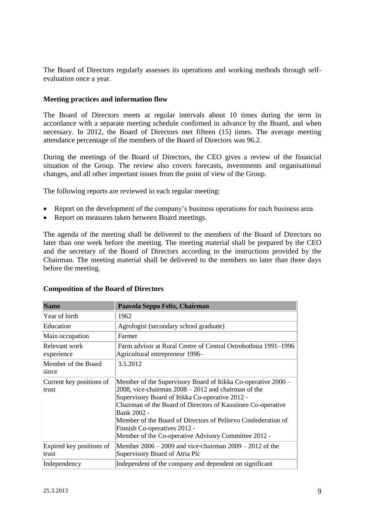The Board of Directors regularly assesses its operations and working methods through selfevaluation once a year.

#### <span id="page-8-0"></span>**Meeting practices and information flow**

The Board of Directors meets at regular intervals about 10 times during the term in accordance with a separate meeting schedule confirmed in advance by the Board, and when necessary. In 2012, the Board of Directors met fifteen (15) times. The average meeting attendance percentage of the members of the Board of Directors was 96.2.

During the meetings of the Board of Directors, the CEO gives a review of the financial situation of the Group. The review also covers forecasts, investments and organisational changes, and all other important issues from the point of view of the Group.

The following reports are reviewed in each regular meeting:

- Report on the development of the company's business operations for each business area
- Report on measures taken between Board meetings.

The agenda of the meeting shall be delivered to the members of the Board of Directors no later than one week before the meeting. The meeting material shall be prepared by the CEO and the secretary of the Board of Directors according to the instructions provided by the Chairman. The meeting material shall be delivered to the members no later than three days before the meeting.

| <b>Name</b>                       | Paavola Seppo Felix, Chairman                                                                                                                                                                                                                                                                                                                                                                                        |
|-----------------------------------|----------------------------------------------------------------------------------------------------------------------------------------------------------------------------------------------------------------------------------------------------------------------------------------------------------------------------------------------------------------------------------------------------------------------|
| Year of birth                     | 1962                                                                                                                                                                                                                                                                                                                                                                                                                 |
| Education                         | Agrologist (secondary school graduate)                                                                                                                                                                                                                                                                                                                                                                               |
| Main occupation                   | Farmer                                                                                                                                                                                                                                                                                                                                                                                                               |
| Relevant work<br>experience       | Farm advisor at Rural Centre of Central Ostrobothnia 1991–1996<br>Agricultural entrepreneur 1996–                                                                                                                                                                                                                                                                                                                    |
| Member of the Board<br>since      | 3.5.2012                                                                                                                                                                                                                                                                                                                                                                                                             |
| Current key positions of<br>trust | Member of the Supervisory Board of Itikka Co-operative 2000 –<br>$2008$ , vice-chairman $2008 - 2012$ and chairman of the<br>Supervisory Board of Itikka Co-operative 2012 -<br>Chairman of the Board of Directors of Kaustinen Co-operative<br>Bank 2002 -<br>Member of the Board of Directors of Pellervo Confederation of<br>Finnish Co-operatives 2012 -<br>Member of the Co-operative Advisory Committee 2012 - |
| Expired key positions of<br>trust | Member $2006 - 2009$ and vice-chairman $2009 - 2012$ of the<br>Supervisory Board of Atria Plc                                                                                                                                                                                                                                                                                                                        |
| Independency                      | Independent of the company and dependent on significant                                                                                                                                                                                                                                                                                                                                                              |

#### <span id="page-8-1"></span>**Composition of the Board of Directors**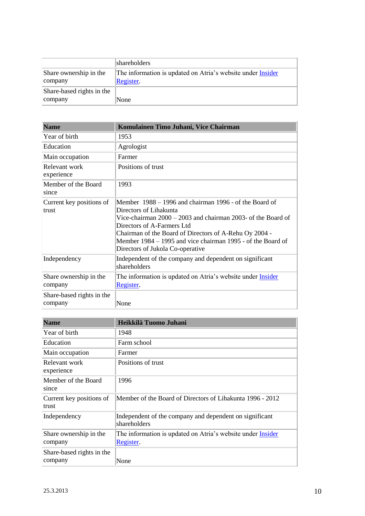|                                      | shareholders                                                                    |
|--------------------------------------|---------------------------------------------------------------------------------|
| Share ownership in the<br>company    | The information is updated on Atria's website under <b>Insider</b><br>Register. |
| Share-based rights in the<br>company | None                                                                            |

| <b>Name</b>                          | Komulainen Timo Juhani, Vice Chairman                                                                                                                                                                                                                                                                                                         |
|--------------------------------------|-----------------------------------------------------------------------------------------------------------------------------------------------------------------------------------------------------------------------------------------------------------------------------------------------------------------------------------------------|
| Year of birth                        | 1953                                                                                                                                                                                                                                                                                                                                          |
| Education                            | Agrologist                                                                                                                                                                                                                                                                                                                                    |
| Main occupation                      | Farmer                                                                                                                                                                                                                                                                                                                                        |
| Relevant work<br>experience          | Positions of trust                                                                                                                                                                                                                                                                                                                            |
| Member of the Board<br>since         | 1993                                                                                                                                                                                                                                                                                                                                          |
| Current key positions of<br>trust    | Member 1988 – 1996 and chairman 1996 - of the Board of<br>Directors of Lihakunta<br>Vice-chairman $2000 - 2003$ and chairman 2003- of the Board of<br>Directors of A-Farmers Ltd<br>Chairman of the Board of Directors of A-Rehu Oy 2004 -<br>Member 1984 – 1995 and vice chairman 1995 - of the Board of<br>Directors of Jukola Co-operative |
| Independency                         | Independent of the company and dependent on significant<br>shareholders                                                                                                                                                                                                                                                                       |
| Share ownership in the<br>company    | The information is updated on Atria's website under <i>Insider</i><br>Register.                                                                                                                                                                                                                                                               |
| Share-based rights in the<br>company | None                                                                                                                                                                                                                                                                                                                                          |

| <b>Name</b>                          | Heikkilä Tuomo Juhani                                                           |
|--------------------------------------|---------------------------------------------------------------------------------|
| Year of birth                        | 1948                                                                            |
| Education                            | Farm school                                                                     |
| Main occupation                      | Farmer                                                                          |
| Relevant work<br>experience          | Positions of trust                                                              |
| Member of the Board<br>since         | 1996                                                                            |
| Current key positions of<br>trust    | Member of the Board of Directors of Lihakunta 1996 - 2012                       |
| Independency                         | Independent of the company and dependent on significant<br>shareholders         |
| Share ownership in the<br>company    | The information is updated on Atria's website under <i>Insider</i><br>Register. |
| Share-based rights in the<br>company | None                                                                            |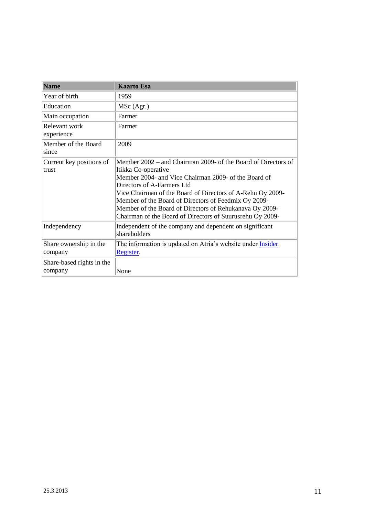| <b>Name</b>                          | <b>Kaarto Esa</b>                                                                                                                                                                                                                                                                                                                                                                                                        |
|--------------------------------------|--------------------------------------------------------------------------------------------------------------------------------------------------------------------------------------------------------------------------------------------------------------------------------------------------------------------------------------------------------------------------------------------------------------------------|
| Year of birth                        | 1959                                                                                                                                                                                                                                                                                                                                                                                                                     |
| Education                            | MSc (Agr.)                                                                                                                                                                                                                                                                                                                                                                                                               |
| Main occupation                      | Farmer                                                                                                                                                                                                                                                                                                                                                                                                                   |
| Relevant work<br>experience          | Farmer                                                                                                                                                                                                                                                                                                                                                                                                                   |
| Member of the Board<br>since         | 2009                                                                                                                                                                                                                                                                                                                                                                                                                     |
| Current key positions of<br>trust    | Member 2002 – and Chairman 2009- of the Board of Directors of<br>Itikka Co-operative<br>Member 2004- and Vice Chairman 2009- of the Board of<br>Directors of A-Farmers Ltd<br>Vice Chairman of the Board of Directors of A-Rehu Oy 2009-<br>Member of the Board of Directors of Feedmix Oy 2009-<br>Member of the Board of Directors of Rehukanava Oy 2009-<br>Chairman of the Board of Directors of Suurusrehu Oy 2009- |
| Independency                         | Independent of the company and dependent on significant<br>shareholders                                                                                                                                                                                                                                                                                                                                                  |
| Share ownership in the<br>company    | The information is updated on Atria's website under <i>Insider</i><br>Register.                                                                                                                                                                                                                                                                                                                                          |
| Share-based rights in the<br>company | None                                                                                                                                                                                                                                                                                                                                                                                                                     |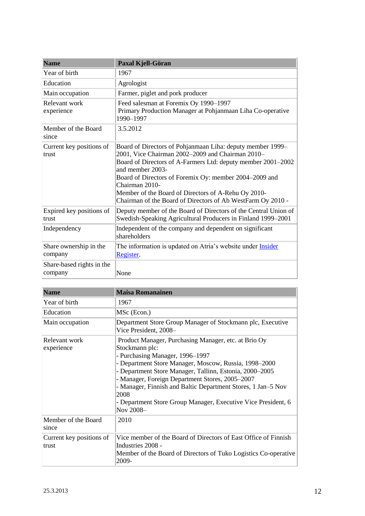| <b>Name</b>                          | Paxal Kjell-Göran                                                                                                                                                                                                                                                                                                                                                                                    |  |  |
|--------------------------------------|------------------------------------------------------------------------------------------------------------------------------------------------------------------------------------------------------------------------------------------------------------------------------------------------------------------------------------------------------------------------------------------------------|--|--|
| Year of birth                        | 1967                                                                                                                                                                                                                                                                                                                                                                                                 |  |  |
| Education                            | Agrologist                                                                                                                                                                                                                                                                                                                                                                                           |  |  |
| Main occupation                      | Farmer, piglet and pork producer                                                                                                                                                                                                                                                                                                                                                                     |  |  |
| Relevant work<br>experience          | Feed salesman at Foremix Oy 1990-1997<br>Primary Production Manager at Pohjanmaan Liha Co-operative<br>1990-1997                                                                                                                                                                                                                                                                                     |  |  |
| Member of the Board<br>since         | 3.5.2012                                                                                                                                                                                                                                                                                                                                                                                             |  |  |
| Current key positions of<br>trust    | Board of Directors of Pohjanmaan Liha: deputy member 1999–<br>2001, Vice Chairman 2002-2009 and Chairman 2010-<br>Board of Directors of A-Farmers Ltd: deputy member 2001–2002<br>and member 2003-<br>Board of Directors of Foremix Oy: member 2004–2009 and<br>Chairman 2010-<br>Member of the Board of Directors of A-Rehu Oy 2010-<br>Chairman of the Board of Directors of Ab WestFarm Oy 2010 - |  |  |
| Expired key positions of<br>trust    | Deputy member of the Board of Directors of the Central Union of<br>Swedish-Speaking Agricultural Producers in Finland 1999–2001                                                                                                                                                                                                                                                                      |  |  |
| Independency                         | Independent of the company and dependent on significant<br>shareholders                                                                                                                                                                                                                                                                                                                              |  |  |
| Share ownership in the<br>company    | The information is updated on Atria's website under <i>Insider</i><br>Register.                                                                                                                                                                                                                                                                                                                      |  |  |
| Share-based rights in the<br>company | None                                                                                                                                                                                                                                                                                                                                                                                                 |  |  |

| <b>Name</b>                       | <b>Maisa Romanainen</b>                                                                                                                                                                                                                                                                                                                                                                                                                |  |  |  |
|-----------------------------------|----------------------------------------------------------------------------------------------------------------------------------------------------------------------------------------------------------------------------------------------------------------------------------------------------------------------------------------------------------------------------------------------------------------------------------------|--|--|--|
| Year of birth                     | 1967                                                                                                                                                                                                                                                                                                                                                                                                                                   |  |  |  |
| Education                         | MSc (Econ.)                                                                                                                                                                                                                                                                                                                                                                                                                            |  |  |  |
| Main occupation                   | Department Store Group Manager of Stockmann plc, Executive<br>Vice President, 2008-                                                                                                                                                                                                                                                                                                                                                    |  |  |  |
| Relevant work<br>experience       | Product Manager, Purchasing Manager, etc. at Brio Oy<br>Stockmann plc:<br>- Purchasing Manager, 1996-1997<br>- Department Store Manager, Moscow, Russia, 1998-2000<br>- Department Store Manager, Tallinn, Estonia, 2000-2005<br>- Manager, Foreign Department Stores, 2005-2007<br>- Manager, Finnish and Baltic Department Stores, 1 Jan-5 Nov<br>2008<br>- Department Store Group Manager, Executive Vice President, 6<br>Nov 2008- |  |  |  |
| Member of the Board<br>since      | 2010                                                                                                                                                                                                                                                                                                                                                                                                                                   |  |  |  |
| Current key positions of<br>trust | Vice member of the Board of Directors of East Office of Finnish<br>Industries 2008 -<br>Member of the Board of Directors of Tuko Logistics Co-operative<br>2009-                                                                                                                                                                                                                                                                       |  |  |  |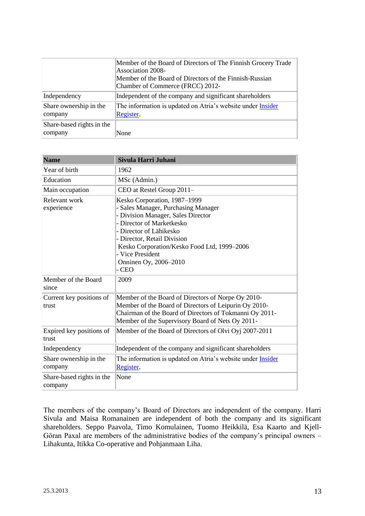|                                      | Member of the Board of Directors of The Finnish Grocery Trade<br>Association 2008-<br>Member of the Board of Directors of the Finnish-Russian<br>Chamber of Commerce (FRCC) 2012- |  |
|--------------------------------------|-----------------------------------------------------------------------------------------------------------------------------------------------------------------------------------|--|
| Independency                         | Independent of the company and significant shareholders                                                                                                                           |  |
| Share ownership in the<br>company    | The information is updated on Atria's website under <b>Insider</b><br>Register.                                                                                                   |  |
| Share-based rights in the<br>company | None                                                                                                                                                                              |  |

| <b>Name</b>                          | Sivula Harri Juhani                                                                                                                                                                                                                                                                                   |
|--------------------------------------|-------------------------------------------------------------------------------------------------------------------------------------------------------------------------------------------------------------------------------------------------------------------------------------------------------|
| Year of birth                        | 1962                                                                                                                                                                                                                                                                                                  |
| Education                            | MSc (Admin.)                                                                                                                                                                                                                                                                                          |
| Main occupation                      | CEO at Restel Group 2011-                                                                                                                                                                                                                                                                             |
| Relevant work<br>experience          | Kesko Corporation, 1987-1999<br>- Sales Manager, Purchasing Manager<br>- Division Manager, Sales Director<br>- Director of Marketkesko<br>- Director of Lähikesko<br>- Director, Retail Division<br>Kesko Corporation/Kesko Food Ltd, 1999-2006<br>- Vice President<br>Onninen Oy, 2006-2010<br>- CEO |
| Member of the Board<br>since         | 2009                                                                                                                                                                                                                                                                                                  |
| Current key positions of<br>trust    | Member of the Board of Directors of Norpe Oy 2010-<br>Member of the Board of Directors of Leipurin Oy 2010-<br>Chairman of the Board of Directors of Tokmanni Oy 2011-<br>Member of the Supervisory Board of Nets Oy 2011-                                                                            |
| Expired key positions of<br>trust    | Member of the Board of Directors of Olvi Oyj 2007-2011                                                                                                                                                                                                                                                |
| Independency                         | Independent of the company and significant shareholders                                                                                                                                                                                                                                               |
| Share ownership in the<br>company    | The information is updated on Atria's website under <i>Insider</i><br>Register.                                                                                                                                                                                                                       |
| Share-based rights in the<br>company | None                                                                                                                                                                                                                                                                                                  |

The members of the company's Board of Directors are independent of the company. Harri Sivula and Maisa Romanainen are independent of both the company and its significant shareholders. Seppo Paavola, Timo Komulainen, Tuomo Heikkilä, Esa Kaarto and Kjell-Göran Paxal are members of the administrative bodies of the company's principal owners – Lihakunta, Itikka Co-operative and Pohjanmaan Liha.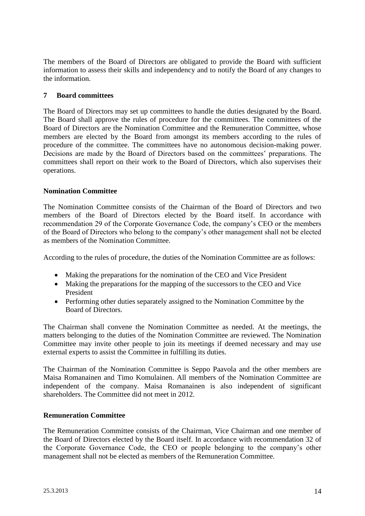The members of the Board of Directors are obligated to provide the Board with sufficient information to assess their skills and independency and to notify the Board of any changes to the information.

## <span id="page-13-0"></span>**7 Board committees**

The Board of Directors may set up committees to handle the duties designated by the Board. The Board shall approve the rules of procedure for the committees. The committees of the Board of Directors are the Nomination Committee and the Remuneration Committee, whose members are elected by the Board from amongst its members according to the rules of procedure of the committee. The committees have no autonomous decision-making power. Decisions are made by the Board of Directors based on the committees' preparations. The committees shall report on their work to the Board of Directors, which also supervises their operations.

#### <span id="page-13-1"></span>**Nomination Committee**

The Nomination Committee consists of the Chairman of the Board of Directors and two members of the Board of Directors elected by the Board itself. In accordance with recommendation 29 of the Corporate Governance Code, the company's CEO or the members of the Board of Directors who belong to the company's other management shall not be elected as members of the Nomination Committee.

According to the rules of procedure, the duties of the Nomination Committee are as follows:

- Making the preparations for the nomination of the CEO and Vice President
- Making the preparations for the mapping of the successors to the CEO and Vice President
- Performing other duties separately assigned to the Nomination Committee by the Board of Directors.

The Chairman shall convene the Nomination Committee as needed. At the meetings, the matters belonging to the duties of the Nomination Committee are reviewed. The Nomination Committee may invite other people to join its meetings if deemed necessary and may use external experts to assist the Committee in fulfilling its duties.

The Chairman of the Nomination Committee is Seppo Paavola and the other members are Maisa Romanainen and Timo Komulainen. All members of the Nomination Committee are independent of the company. Maisa Romanainen is also independent of significant shareholders. The Committee did not meet in 2012.

#### <span id="page-13-2"></span>**Remuneration Committee**

The Remuneration Committee consists of the Chairman, Vice Chairman and one member of the Board of Directors elected by the Board itself. In accordance with recommendation 32 of the Corporate Governance Code, the CEO or people belonging to the company's other management shall not be elected as members of the Remuneration Committee.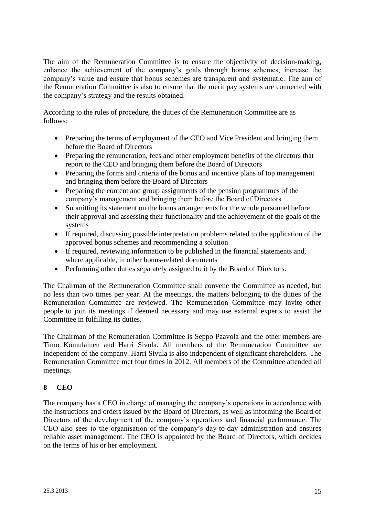The aim of the Remuneration Committee is to ensure the objectivity of decision-making, enhance the achievement of the company's goals through bonus schemes, increase the company's value and ensure that bonus schemes are transparent and systematic. The aim of the Remuneration Committee is also to ensure that the merit pay systems are connected with the company's strategy and the results obtained.

According to the rules of procedure, the duties of the Remuneration Committee are as follows:

- Preparing the terms of employment of the CEO and Vice President and bringing them before the Board of Directors
- Preparing the remuneration, fees and other employment benefits of the directors that report to the CEO and bringing them before the Board of Directors
- Preparing the forms and criteria of the bonus and incentive plans of top management and bringing them before the Board of Directors
- Preparing the content and group assignments of the pension programmes of the company's management and bringing them before the Board of Directors
- Submitting its statement on the bonus arrangements for the whole personnel before their approval and assessing their functionality and the achievement of the goals of the systems
- If required, discussing possible interpretation problems related to the application of the approved bonus schemes and recommending a solution
- If required, reviewing information to be published in the financial statements and, where applicable, in other bonus-related documents
- Performing other duties separately assigned to it by the Board of Directors.

The Chairman of the Remuneration Committee shall convene the Committee as needed, but no less than two times per year. At the meetings, the matters belonging to the duties of the Remuneration Committee are reviewed. The Remuneration Committee may invite other people to join its meetings if deemed necessary and may use external experts to assist the Committee in fulfilling its duties.

The Chairman of the Remuneration Committee is Seppo Paavola and the other members are Timo Komulainen and Harri Sivula. All members of the Remuneration Committee are independent of the company. Harri Sivula is also independent of significant shareholders. The Remuneration Committee met four times in 2012. All members of the Committee attended all meetings.

## <span id="page-14-0"></span>**8 CEO**

The company has a CEO in charge of managing the company's operations in accordance with the instructions and orders issued by the Board of Directors, as well as informing the Board of Directors of the development of the company's operations and financial performance. The CEO also sees to the organisation of the company's day-to-day administration and ensures reliable asset management. The CEO is appointed by the Board of Directors, which decides on the terms of his or her employment.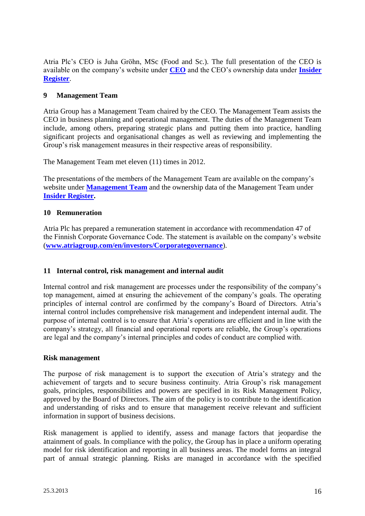Atria Plc's CEO is Juha Gröhn, MSc (Food and Sc.). The full presentation of the CEO is available on the company's website under **[CEO](http://www.atriagroup.com/sijoittajat/HallintoJaJohtaminen/Toimitusjohtaja)** and the CEO's ownership data under **[Insider](http://www.atriagroup.com/sijoittajat/HallintoJaJohtaminen/sisapiiri/Sivut/default.aspx)  [Register](http://www.atriagroup.com/sijoittajat/HallintoJaJohtaminen/sisapiiri/Sivut/default.aspx)**.

## <span id="page-15-0"></span>**9 Management Team**

Atria Group has a Management Team chaired by the CEO. The Management Team assists the CEO in business planning and operational management. The duties of the Management Team include, among others, preparing strategic plans and putting them into practice, handling significant projects and organisational changes as well as reviewing and implementing the Group's risk management measures in their respective areas of responsibility.

The Management Team met eleven (11) times in 2012.

The presentations of the members of the Management Team are available on the company's website under **[Management Team](http://www.atriagroup.com/sijoittajat/HallintoJaJohtaminen/johtoryhma/Sivut/default.aspx)** and the ownership data of the Management Team under **[Insider Register.](http://www.atriagroup.com/sijoittajat/HallintoJaJohtaminen/sisapiiri)**

### <span id="page-15-1"></span>**10 Remuneration**

Atria Plc has prepared a remuneration statement in accordance with recommendation 47 of the Finnish Corporate Governance Code. The statement is available on the company's website (**[www.atriagroup.com/en/investors/Corporategovernance](http://www.atriagroup.com/en/investors/Corporategovernance)**).

## <span id="page-15-2"></span>**11 Internal control, risk management and internal audit**

Internal control and risk management are processes under the responsibility of the company's top management, aimed at ensuring the achievement of the company's goals. The operating principles of internal control are confirmed by the company's Board of Directors. Atria's internal control includes comprehensive risk management and independent internal audit. The purpose of internal control is to ensure that Atria's operations are efficient and in line with the company's strategy, all financial and operational reports are reliable, the Group's operations are legal and the company's internal principles and codes of conduct are complied with.

#### <span id="page-15-3"></span>**Risk management**

The purpose of risk management is to support the execution of Atria's strategy and the achievement of targets and to secure business continuity. Atria Group's risk management goals, principles, responsibilities and powers are specified in its Risk Management Policy, approved by the Board of Directors. The aim of the policy is to contribute to the identification and understanding of risks and to ensure that management receive relevant and sufficient information in support of business decisions.

Risk management is applied to identify, assess and manage factors that jeopardise the attainment of goals. In compliance with the policy, the Group has in place a uniform operating model for risk identification and reporting in all business areas. The model forms an integral part of annual strategic planning. Risks are managed in accordance with the specified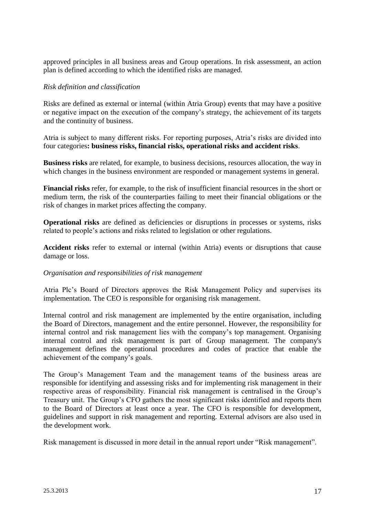approved principles in all business areas and Group operations. In risk assessment, an action plan is defined according to which the identified risks are managed.

#### *Risk definition and classification*

Risks are defined as external or internal (within Atria Group) events that may have a positive or negative impact on the execution of the company's strategy, the achievement of its targets and the continuity of business.

Atria is subject to many different risks. For reporting purposes, Atria's risks are divided into four categories**: business risks, financial risks, operational risks and accident risks**.

**Business risks** are related, for example, to business decisions, resources allocation, the way in which changes in the business environment are responded or management systems in general.

**Financial risks** refer, for example, to the risk of insufficient financial resources in the short or medium term, the risk of the counterparties failing to meet their financial obligations or the risk of changes in market prices affecting the company.

**Operational risks** are defined as deficiencies or disruptions in processes or systems, risks related to people's actions and risks related to legislation or other regulations.

**Accident risks** refer to external or internal (within Atria) events or disruptions that cause damage or loss.

#### *Organisation and responsibilities of risk management*

Atria Plc's Board of Directors approves the Risk Management Policy and supervises its implementation. The CEO is responsible for organising risk management.

Internal control and risk management are implemented by the entire organisation, including the Board of Directors, management and the entire personnel. However, the responsibility for internal control and risk management lies with the company's top management. Organising internal control and risk management is part of Group management. The company's management defines the operational procedures and codes of practice that enable the achievement of the company's goals.

The Group's Management Team and the management teams of the business areas are responsible for identifying and assessing risks and for implementing risk management in their respective areas of responsibility. Financial risk management is centralised in the Group's Treasury unit. The Group's CFO gathers the most significant risks identified and reports them to the Board of Directors at least once a year. The CFO is responsible for development, guidelines and support in risk management and reporting. External advisors are also used in the development work.

Risk management is discussed in more detail in the annual report under "Risk management".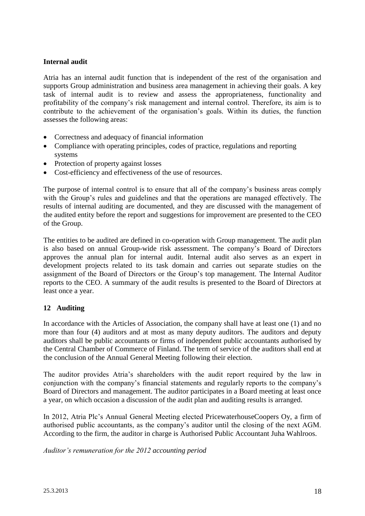## <span id="page-17-0"></span>**Internal audit**

Atria has an internal audit function that is independent of the rest of the organisation and supports Group administration and business area management in achieving their goals. A key task of internal audit is to review and assess the appropriateness, functionality and profitability of the company's risk management and internal control. Therefore, its aim is to contribute to the achievement of the organisation's goals. Within its duties, the function assesses the following areas:

- Correctness and adequacy of financial information
- Compliance with operating principles, codes of practice, regulations and reporting systems
- Protection of property against losses
- Cost-efficiency and effectiveness of the use of resources.

The purpose of internal control is to ensure that all of the company's business areas comply with the Group's rules and guidelines and that the operations are managed effectively. The results of internal auditing are documented, and they are discussed with the management of the audited entity before the report and suggestions for improvement are presented to the CEO of the Group.

The entities to be audited are defined in co-operation with Group management. The audit plan is also based on annual Group-wide risk assessment. The company's Board of Directors approves the annual plan for internal audit. Internal audit also serves as an expert in development projects related to its task domain and carries out separate studies on the assignment of the Board of Directors or the Group's top management. The Internal Auditor reports to the CEO. A summary of the audit results is presented to the Board of Directors at least once a year.

#### <span id="page-17-1"></span>**12 Auditing**

In accordance with the Articles of Association, the company shall have at least one (1) and no more than four (4) auditors and at most as many deputy auditors. The auditors and deputy auditors shall be public accountants or firms of independent public accountants authorised by the Central Chamber of Commerce of Finland. The term of service of the auditors shall end at the conclusion of the Annual General Meeting following their election.

The auditor provides Atria's shareholders with the audit report required by the law in conjunction with the company's financial statements and regularly reports to the company's Board of Directors and management. The auditor participates in a Board meeting at least once a year, on which occasion a discussion of the audit plan and auditing results is arranged.

In 2012, Atria Plc's Annual General Meeting elected PricewaterhouseCoopers Oy, a firm of authorised public accountants, as the company's auditor until the closing of the next AGM. According to the firm, the auditor in charge is Authorised Public Accountant Juha Wahlroos.

*Auditor's remuneration for the 2012 accounting period*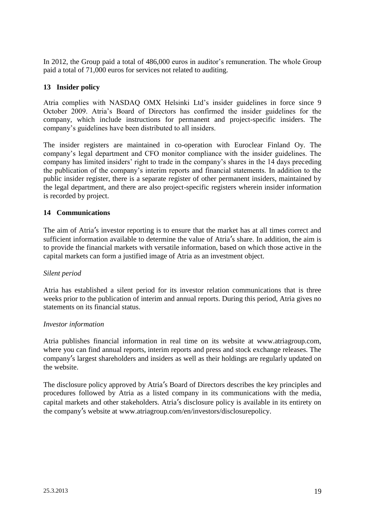In 2012, the Group paid a total of 486,000 euros in auditor's remuneration. The whole Group paid a total of 71,000 euros for services not related to auditing.

## <span id="page-18-0"></span>**13 Insider policy**

Atria complies with NASDAQ OMX Helsinki Ltd's insider guidelines in force since 9 October 2009. Atria's Board of Directors has confirmed the insider guidelines for the company, which include instructions for permanent and project-specific insiders. The company's guidelines have been distributed to all insiders.

The insider registers are maintained in co-operation with Euroclear Finland Oy. The company's legal department and CFO monitor compliance with the insider guidelines. The company has limited insiders' right to trade in the company's shares in the 14 days preceding the publication of the company's interim reports and financial statements. In addition to the public insider register, there is a separate register of other permanent insiders, maintained by the legal department, and there are also project-specific registers wherein insider information is recorded by project.

### <span id="page-18-1"></span>**14 Communications**

The aim of Atria's investor reporting is to ensure that the market has at all times correct and sufficient information available to determine the value of Atria's share. In addition, the aim is to provide the financial markets with versatile information, based on which those active in the capital markets can form a justified image of Atria as an investment object.

## *Silent period*

Atria has established a silent period for its investor relation communications that is three weeks prior to the publication of interim and annual reports. During this period, Atria gives no statements on its financial status.

#### *Investor information*

Atria publishes financial information in real time on its website at www.atriagroup.com, where you can find annual reports, interim reports and press and stock exchange releases. The company's largest shareholders and insiders as well as their holdings are regularly updated on the website.

The disclosure policy approved by Atria's Board of Directors describes the key principles and procedures followed by Atria as a listed company in its communications with the media, capital markets and other stakeholders. Atria's disclosure policy is available in its entirety on the company's website at www.atriagroup.com/en/investors/disclosurepolicy.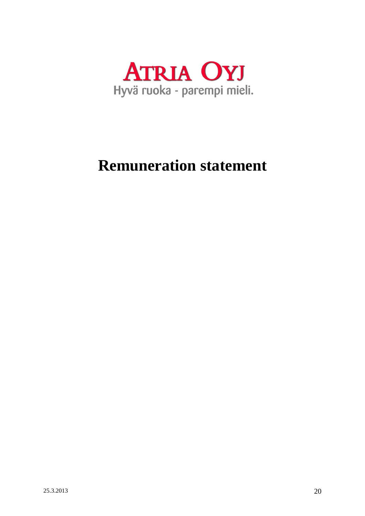

## **Remuneration statement**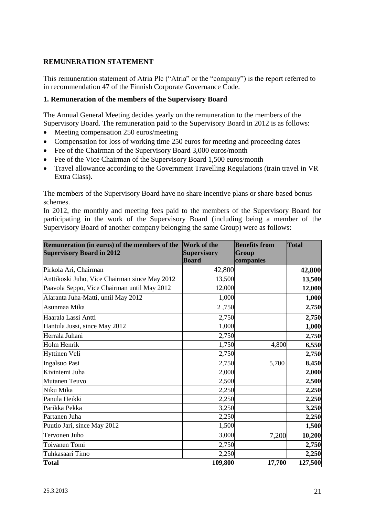## **REMUNERATION STATEMENT**

This remuneration statement of Atria Plc ("Atria" or the "company") is the report referred to in recommendation 47 of the Finnish Corporate Governance Code.

## <span id="page-20-0"></span>**1. Remuneration of the members of the Supervisory Board**

The Annual General Meeting decides yearly on the remuneration to the members of the Supervisory Board. The remuneration paid to the Supervisory Board in 2012 is as follows:

- Meeting compensation 250 euros/meeting
- Compensation for loss of working time 250 euros for meeting and proceeding dates
- Fee of the Chairman of the Supervisory Board 3,000 euros/month
- Fee of the Vice Chairman of the Supervisory Board 1,500 euros/month
- Travel allowance according to the Government Travelling Regulations (train travel in VR Extra Class).

The members of the Supervisory Board have no share incentive plans or share-based bonus schemes.

In 2012, the monthly and meeting fees paid to the members of the Supervisory Board for participating in the work of the Supervisory Board (including being a member of the Supervisory Board of another company belonging the same Group) were as follows:

| Remuneration (in euros) of the members of the<br><b>Supervisory Board in 2012</b> | <b>Work of the</b><br><b>Supervisory</b><br><b>Board</b> | <b>Benefits from</b><br>Group<br>companies | <b>Total</b> |
|-----------------------------------------------------------------------------------|----------------------------------------------------------|--------------------------------------------|--------------|
| Pirkola Ari, Chairman                                                             | 42,800                                                   |                                            | 42,800       |
| Anttikoski Juho, Vice Chairman since May 2012                                     | 13,500                                                   |                                            | 13,500       |
| Paavola Seppo, Vice Chairman until May 2012                                       | 12,000                                                   |                                            | 12,000       |
| Alaranta Juha-Matti, until May 2012                                               | 1,000                                                    |                                            | 1,000        |
| Asunmaa Mika                                                                      | 2,750                                                    |                                            | 2,750        |
| Haarala Lassi Antti                                                               | 2,750                                                    |                                            | 2,750        |
| Hantula Jussi, since May 2012                                                     | 1,000                                                    |                                            | 1,000        |
| Herrala Juhani                                                                    | 2,750                                                    |                                            | 2,750        |
| Holm Henrik                                                                       | 1,750                                                    | 4,800                                      | 6,550        |
| <b>Hyttinen Veli</b>                                                              | 2,750                                                    |                                            | 2,750        |
| Ingalsuo Pasi                                                                     | 2,750                                                    | 5,700                                      | 8,450        |
| Kiviniemi Juha                                                                    | 2,000                                                    |                                            | 2,000        |
| <b>Mutanen Teuvo</b>                                                              | 2,500                                                    |                                            | 2,500        |
| Niku Mika                                                                         | 2,250                                                    |                                            | 2,250        |
| Panula Heikki                                                                     | 2,250                                                    |                                            | 2,250        |
| Parikka Pekka                                                                     | 3,250                                                    |                                            | 3,250        |
| Partanen Juha                                                                     | 2,250                                                    |                                            | 2,250        |
| Puutio Jari, since May 2012                                                       | 1,500                                                    |                                            | 1,500        |
| Tervonen Juho                                                                     | 3,000                                                    | 7,200                                      | 10,200       |
| Toivanen Tomi                                                                     | 2,750                                                    |                                            | 2,750        |
| Tuhkasaari Timo                                                                   | 2,250                                                    |                                            | 2,250        |
| <b>Total</b>                                                                      | 109,800                                                  | 17,700                                     | 127,500      |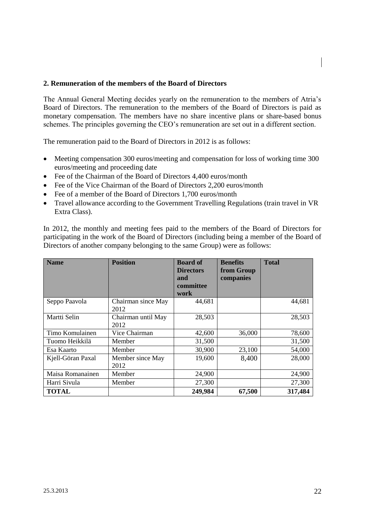#### <span id="page-21-0"></span>**2. Remuneration of the members of the Board of Directors**

The Annual General Meeting decides yearly on the remuneration to the members of Atria's Board of Directors. The remuneration to the members of the Board of Directors is paid as monetary compensation. The members have no share incentive plans or share-based bonus schemes. The principles governing the CEO's remuneration are set out in a different section.

The remuneration paid to the Board of Directors in 2012 is as follows:

- Meeting compensation 300 euros/meeting and compensation for loss of working time 300 euros/meeting and proceeding date
- Fee of the Chairman of the Board of Directors 4,400 euros/month
- Fee of the Vice Chairman of the Board of Directors 2,200 euros/month
- Fee of a member of the Board of Directors 1,700 euros/month
- Travel allowance according to the Government Travelling Regulations (train travel in VR Extra Class).

In 2012, the monthly and meeting fees paid to the members of the Board of Directors for participating in the work of the Board of Directors (including being a member of the Board of Directors of another company belonging to the same Group) were as follows:

| <b>Name</b>       | <b>Position</b>            | <b>Board of</b><br><b>Directors</b><br>and | <b>Benefits</b><br>from Group<br>companies | <b>Total</b> |
|-------------------|----------------------------|--------------------------------------------|--------------------------------------------|--------------|
|                   |                            | committee<br>work                          |                                            |              |
| Seppo Paavola     | Chairman since May<br>2012 | 44,681                                     |                                            | 44,681       |
| Martti Selin      | Chairman until May<br>2012 | 28,503                                     |                                            | 28,503       |
| Timo Komulainen   | Vice Chairman              | 42,600                                     | 36,000                                     | 78,600       |
| Tuomo Heikkilä    | Member                     | 31,500                                     |                                            | 31,500       |
| Esa Kaarto        | Member                     | 30,900                                     | 23,100                                     | 54,000       |
| Kjell-Göran Paxal | Member since May<br>2012   | 19,600                                     | 8,400                                      | 28,000       |
| Maisa Romanainen  | Member                     | 24,900                                     |                                            | 24,900       |
| Harri Sivula      | Member                     | 27,300                                     |                                            | 27,300       |
| <b>TOTAL</b>      |                            | 249,984                                    | 67,500                                     | 317,484      |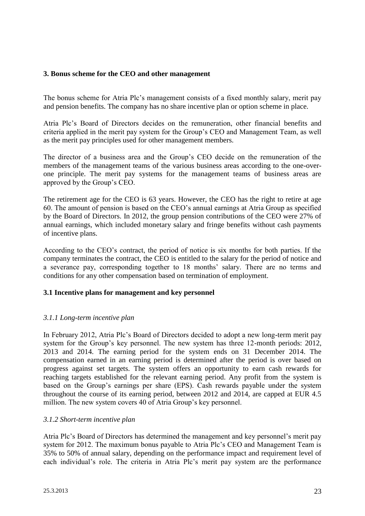### <span id="page-22-0"></span>**3. Bonus scheme for the CEO and other management**

The bonus scheme for Atria Plc's management consists of a fixed monthly salary, merit pay and pension benefits. The company has no share incentive plan or option scheme in place.

Atria Plc's Board of Directors decides on the remuneration, other financial benefits and criteria applied in the merit pay system for the Group's CEO and Management Team, as well as the merit pay principles used for other management members.

The director of a business area and the Group's CEO decide on the remuneration of the members of the management teams of the various business areas according to the one-overone principle. The merit pay systems for the management teams of business areas are approved by the Group's CEO.

The retirement age for the CEO is 63 years. However, the CEO has the right to retire at age 60. The amount of pension is based on the CEO's annual earnings at Atria Group as specified by the Board of Directors. In 2012, the group pension contributions of the CEO were 27% of annual earnings, which included monetary salary and fringe benefits without cash payments of incentive plans.

According to the CEO's contract, the period of notice is six months for both parties. If the company terminates the contract, the CEO is entitled to the salary for the period of notice and a severance pay, corresponding together to 18 months' salary. There are no terms and conditions for any other compensation based on termination of employment.

#### **3.1 Incentive plans for management and key personnel**

## *3.1.1 Long-term incentive plan*

In February 2012, Atria Plc's Board of Directors decided to adopt a new long-term merit pay system for the Group's key personnel. The new system has three 12-month periods: 2012, 2013 and 2014. The earning period for the system ends on 31 December 2014. The compensation earned in an earning period is determined after the period is over based on progress against set targets. The system offers an opportunity to earn cash rewards for reaching targets established for the relevant earning period. Any profit from the system is based on the Group's earnings per share (EPS). Cash rewards payable under the system throughout the course of its earning period, between 2012 and 2014, are capped at EUR 4.5 million. The new system covers 40 of Atria Group's key personnel.

#### *3.1.2 Short-term incentive plan*

Atria Plc's Board of Directors has determined the management and key personnel's merit pay system for 2012. The maximum bonus payable to Atria Plc's CEO and Management Team is 35% to 50% of annual salary, depending on the performance impact and requirement level of each individual's role. The criteria in Atria Plc's merit pay system are the performance